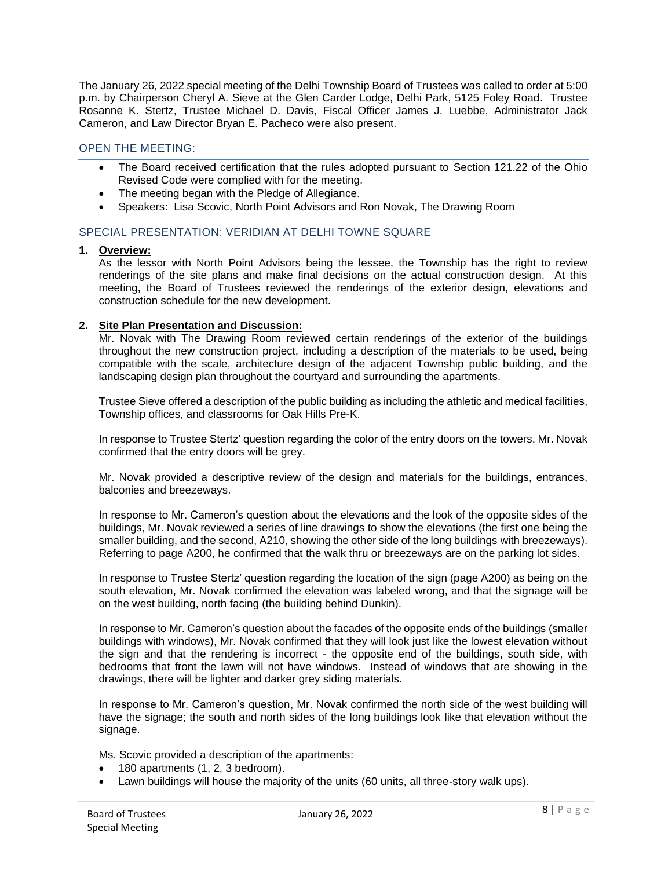The January 26, 2022 special meeting of the Delhi Township Board of Trustees was called to order at 5:00 p.m. by Chairperson Cheryl A. Sieve at the Glen Carder Lodge, Delhi Park, 5125 Foley Road. Trustee Rosanne K. Stertz, Trustee Michael D. Davis, Fiscal Officer James J. Luebbe, Administrator Jack Cameron, and Law Director Bryan E. Pacheco were also present.

## OPEN THE MEETING:

- The Board received certification that the rules adopted pursuant to Section 121.22 of the Ohio Revised Code were complied with for the meeting.
- The meeting began with the Pledge of Allegiance.
- Speakers: Lisa Scovic, North Point Advisors and Ron Novak, The Drawing Room

## SPECIAL PRESENTATION: VERIDIAN AT DELHI TOWNE SQUARE

# **1. Overview:**

As the lessor with North Point Advisors being the lessee, the Township has the right to review renderings of the site plans and make final decisions on the actual construction design. At this meeting, the Board of Trustees reviewed the renderings of the exterior design, elevations and construction schedule for the new development.

## **2. Site Plan Presentation and Discussion:**

Mr. Novak with The Drawing Room reviewed certain renderings of the exterior of the buildings throughout the new construction project, including a description of the materials to be used, being compatible with the scale, architecture design of the adjacent Township public building, and the landscaping design plan throughout the courtyard and surrounding the apartments.

Trustee Sieve offered a description of the public building as including the athletic and medical facilities, Township offices, and classrooms for Oak Hills Pre-K.

In response to Trustee Stertz' question regarding the color of the entry doors on the towers, Mr. Novak confirmed that the entry doors will be grey.

Mr. Novak provided a descriptive review of the design and materials for the buildings, entrances, balconies and breezeways.

In response to Mr. Cameron's question about the elevations and the look of the opposite sides of the buildings, Mr. Novak reviewed a series of line drawings to show the elevations (the first one being the smaller building, and the second, A210, showing the other side of the long buildings with breezeways). Referring to page A200, he confirmed that the walk thru or breezeways are on the parking lot sides.

In response to Trustee Stertz' question regarding the location of the sign (page A200) as being on the south elevation, Mr. Novak confirmed the elevation was labeled wrong, and that the signage will be on the west building, north facing (the building behind Dunkin).

In response to Mr. Cameron's question about the facades of the opposite ends of the buildings (smaller buildings with windows), Mr. Novak confirmed that they will look just like the lowest elevation without the sign and that the rendering is incorrect - the opposite end of the buildings, south side, with bedrooms that front the lawn will not have windows. Instead of windows that are showing in the drawings, there will be lighter and darker grey siding materials.

In response to Mr. Cameron's question, Mr. Novak confirmed the north side of the west building will have the signage; the south and north sides of the long buildings look like that elevation without the signage.

Ms. Scovic provided a description of the apartments:

- 180 apartments (1, 2, 3 bedroom).
- Lawn buildings will house the majority of the units (60 units, all three-story walk ups).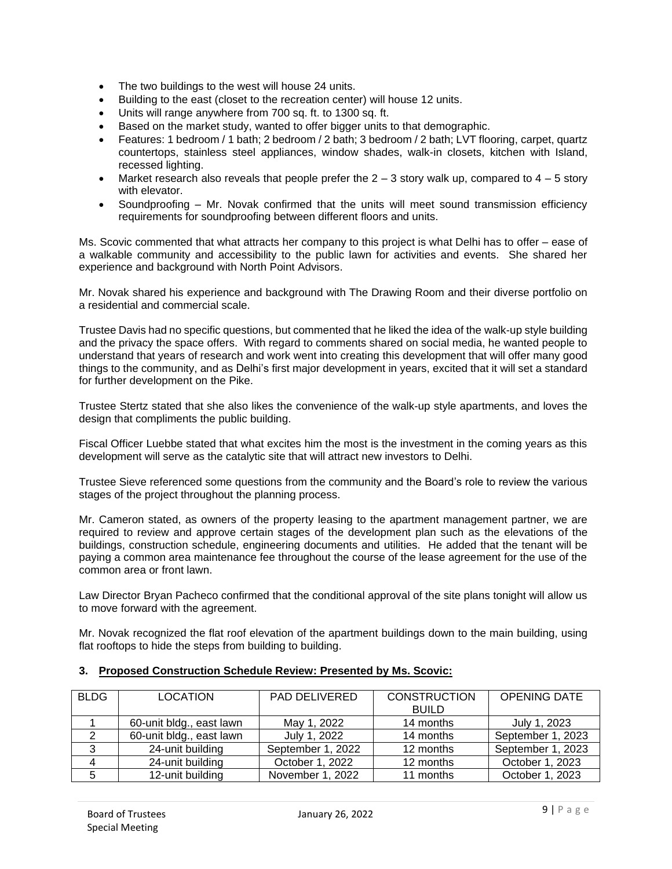- The two buildings to the west will house 24 units.
- Building to the east (closet to the recreation center) will house 12 units.
- Units will range anywhere from 700 sq. ft. to 1300 sq. ft.
- Based on the market study, wanted to offer bigger units to that demographic.
- Features: 1 bedroom / 1 bath; 2 bedroom / 2 bath; 3 bedroom / 2 bath; LVT flooring, carpet, quartz countertops, stainless steel appliances, window shades, walk-in closets, kitchen with Island, recessed lighting.
- Market research also reveals that people prefer the  $2 3$  story walk up, compared to  $4 5$  story with elevator.
- Soundproofing Mr. Novak confirmed that the units will meet sound transmission efficiency requirements for soundproofing between different floors and units.

Ms. Scovic commented that what attracts her company to this project is what Delhi has to offer – ease of a walkable community and accessibility to the public lawn for activities and events. She shared her experience and background with North Point Advisors.

Mr. Novak shared his experience and background with The Drawing Room and their diverse portfolio on a residential and commercial scale.

Trustee Davis had no specific questions, but commented that he liked the idea of the walk-up style building and the privacy the space offers. With regard to comments shared on social media, he wanted people to understand that years of research and work went into creating this development that will offer many good things to the community, and as Delhi's first major development in years, excited that it will set a standard for further development on the Pike.

Trustee Stertz stated that she also likes the convenience of the walk-up style apartments, and loves the design that compliments the public building.

Fiscal Officer Luebbe stated that what excites him the most is the investment in the coming years as this development will serve as the catalytic site that will attract new investors to Delhi.

Trustee Sieve referenced some questions from the community and the Board's role to review the various stages of the project throughout the planning process.

Mr. Cameron stated, as owners of the property leasing to the apartment management partner, we are required to review and approve certain stages of the development plan such as the elevations of the buildings, construction schedule, engineering documents and utilities. He added that the tenant will be paying a common area maintenance fee throughout the course of the lease agreement for the use of the common area or front lawn.

Law Director Bryan Pacheco confirmed that the conditional approval of the site plans tonight will allow us to move forward with the agreement.

Mr. Novak recognized the flat roof elevation of the apartment buildings down to the main building, using flat rooftops to hide the steps from building to building.

| <b>BLDG</b> | <b>LOCATION</b>          | <b>PAD DELIVERED</b> | <b>CONSTRUCTION</b> | <b>OPENING DATE</b> |
|-------------|--------------------------|----------------------|---------------------|---------------------|
|             |                          |                      | <b>BUILD</b>        |                     |
|             | 60-unit bldg., east lawn | May 1, 2022          | 14 months           | July 1, 2023        |
|             | 60-unit bldg., east lawn | July 1, 2022         | 14 months           | September 1, 2023   |
| 3           | 24-unit building         | September 1, 2022    | 12 months           | September 1, 2023   |
| -4          | 24-unit building         | October 1, 2022      | 12 months           | October 1, 2023     |
| 5           | 12-unit building         | November 1, 2022     | 11 months           | October 1, 2023     |

### **3. Proposed Construction Schedule Review: Presented by Ms. Scovic:**